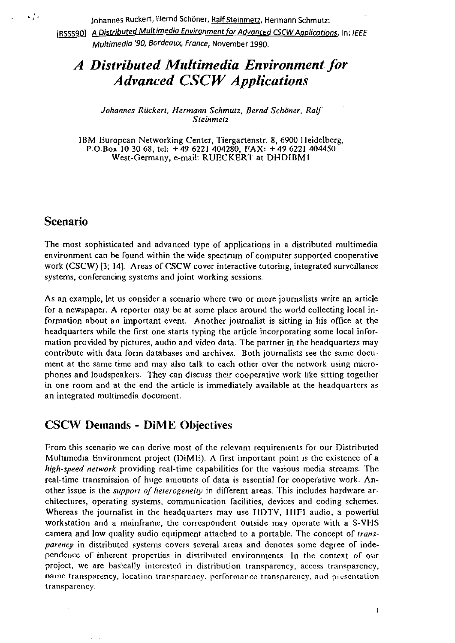Johannes Ruckert, »ernd Schöner, Ralf Steinmetz, Hermann Schmutz:

[RSSS90] A Distributed Multimedia Environment for Advanced CSCW Applications. In: *IEEE* **Multirnedio** '90, **Bcrdeoux, Fronce,** November **1990.** 

# A Distributed Multimedia Environment for *Advanced CSC W Applications*

Johannes Rückert, Hermann Schmutz, Bernd Schöner, Ralf **Sieinmefz** 

IBM European Networking Center, Tiergartenstr. 8, 6900 IIeidelberg, P.O.nox **10 30 68,** tel: + **49 6221 404280. FAX:** + **49 6221 404450**  West-Germany. e-mail: RUECKERT at DHDIBMI

## **Scenario**

 $\approx \sqrt{t}$ 

The most sophisticated and advanced type of applications in a distributed multimedia environment can be found within the wide spectrum of computer supported cooperative work (CSCW) [3; 14]. Areas of CSCW cover interactive tutoring, integrated surveillance systems. conferencing systems and joint working sessions.

As an example, let us consider a scenario where two or more journalists write an article for a newspaper. A reporter may be at some place around the world collecting local information about an important event. Another journalist is sitting in his ofice at the headquarters while the first one Starts typing the article incorporating some local information provided by pictures, audio and video data. The partner in the headquarters may contribute with data form databases and archives. Both journalists see the same document at the same time and may also talk to each other over the network using microphones and loudspeakers. They can discuss their cooperative work like sitting together in one room and at the end the article is immediately available at the headquarters as an integrated multimedia document.

## **CSCW Demands** - **DiME Objectives**

From this scenario we can derive most of the relevant requirements for our Distributed Multimedia Environment project ( $DiME$ ). A first important point is the existence of a **high-speed neiwork** providing real-time capabilities Tor the various media streams. The real-time transmission of huge amounts of data is essential for cooperative work. Another issue is the *support of heterogeneity* in different areas. This includes hardware architectures, operating systems, communication facilities, devices and coding schemes. Whereas the journalist in the headquarters may use HDTV, HIFI audio, a powerful workstation and a mainframe, the correspondent outside may operate with a S-VHS camera and low quality audio equipment attached to a portablc. The concept of **irans***parency* in distributed systems covers several areas and denotes some degree of independencc of inlierent propcrties in distributcd environments. In thc contcxt of oiir project, we are basically interested in distribution transparency, access transparency, name transparency, location transparency, performance transparency, and presentation transparency.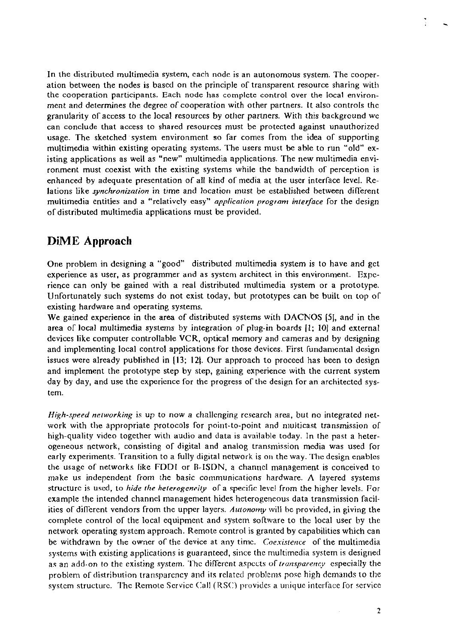In the distributed multimedia system, cach nodc is an autonomous system. The cooperation between the nodes is based on the principle of transparent resource sharing with the cooperation participants. Each node has complcte control over the local environment and determines the degree of cooperation with other partners. It also controls the granularity of access to the local resources by other partners. With this background wc can conclude that access to shared resources must be protected against unauthorized usage. The sketched system environment so far comes from the idea of supporting multimedia within existing operating systcms. The Users must be able to run "old" existing applications as well as "new" multimedia applications. The new multimedia environment must coexist with the existing systems while the bandwidth of perception is enhanced by adequate presentation of all kind of media at the user interface level. Relations like *synchronization* in time and location must be established between different multimedia entities and a "relatively easy" application program interface for the design of distributed multimedia applications must be provided.

## **DiME Approach**

One problem in designing a "good" distributed multimedia system is to have and gct experience as user, as programmer and as system architect in this environment. Expcrience can only be gained with a real distributed inultimedia system or a prototype. Unfortunately such systems do not exist today, but prototypes can be built on top of existing hardware and operating systems.

We gained experience in the area of distributed systems with DACNOS **(51,** and in the area of local multimedia systems by integration of plug-in boards (1; 101 and external devices like computer controllable VCR, optical memory and cameras and by designing and implementing local control applications for those devices. First fundamental design issucs were already published in (13; 121. Our approach to proceed has been to design and implement the prototype step by step, gaining experience with the current system day by day, and use the experience for the progress of the design for an architected system.

High-speed networking is up to now a challenging research area, but no integrated network with the appropriate protocols for point-to-point and nulticast transmission of high-quality video together with audio and data is available today. In the past a heterogeneous network, consisting oT digital and analog transmission media was used Tor early experiments. Transition to a fully digital network is on the way. The design enables the usage of networks like FDDI or B-ISDN, a channel management is conceived to make us independent from the basic communications hardware. **A** layered systems structure is used, to *hide the heterogencity* of a specific level from the higher levels. For example the intended channel management hides heterogencous data transmission facilities of different vendors from the upper layers. Autonomy will be provided, in giving the complete control of the local equipment and system software to the local user by the network operating systcm approach. Remote control is granted by capabilities which can be withdrawn by the owner of the device at any time. *Coexistence* of the multimedia systems with existing applications is guaranteed, since the multimedia system is designed as an add-on to the existing system. The different aspects of *transparency* especially the problem of distribution transparency and its related problems pose high demands to the system structure. The Remote Service Call (RSC) provides a unique interface for service

 $\overline{2}$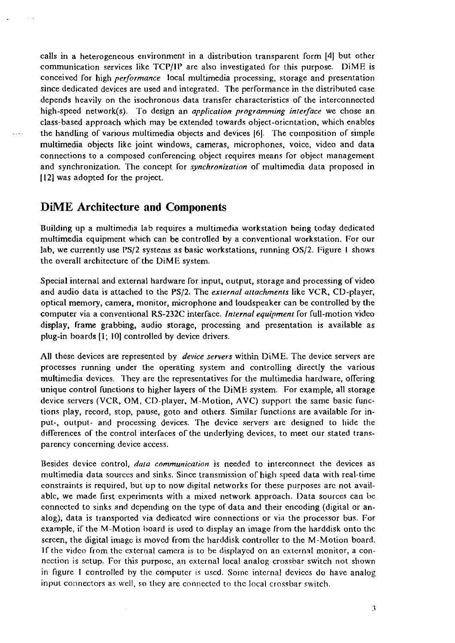calls in a heterogeneous environment in a distribution transparent form [4] but other communication services like TCP/IP are also investigated for this purpose. DiME is conceived Tor high *performance* local multimedia processing, storage and presentation since dedicated devices are used and integrated. The performance in the distributed case depends heavily on the isochronous data transfer characteristics of the interconnected high-speed network(s). To design an *application programming interface* we chose an class-based approach which may be extended towards object-oricntation, which enables the handling of various multimedia objects and devices **161.** The cornposition of simple multimedia objects like joint windows, cameras, microphones, voice. video and data connections to a composed conferencing object requires means Tor object management and synchronization. The concept for *synchronization* of multimedia data proposed in 1121 was adopted ior the project.

### **DiME Architecture and Components**

 $\bar{a}$ 

Building up a multimedia lab requires a multimedia workstation being today dedicated multimedia equipment which can be controlled by a conventional workstation. For our lab, we currently use PS/2 systems as basic workstations, running OS/2. Figure 1 shows the overall architecture of the DiME system.

Special internal and external hardware for input, output, storage and processing of video and audio data is attached to the PS/2. The *exrernal aiiachments* like VCR, CD-player, optical rnemory, camera. monitor, microphone and Loudspeaker can be controlled by the computer via a conventional RS-232C interface. *Internal equipment* for full-motion video display, frame grabbing, audio storage, processing and presentation is available as plug-in boards [I; 10) controlled by device drivers.

All these devices are represented by *device servers* within IliME. The device servers are processes running under the operating system and controlling directly the various multimedia devices. They are the representatives for the multimedia hardware, offering unique control functions to higher layers of the DiME system. For example, all storage device servers (VCR, OM, CD-player, M-Motion, AVC) support the same basic functions play, record, stop, pause, goto and others. Similar functions are available Cor input-, output- and processing devices. The device servers are designed to liide the differences of the control interfaces of the underlying devices, to meet our stated transparency concerning device access.

Desides device control, *dara communicaiion* is needed to interconnect the devices as multirnedia data sourccs and sinks. Since transmission of high speed data with real-time constraints is required, but up to now digital networks for these purposes arc not availablc, we made first experiments with a mixed network approach. Data sources can bc connected to sinks and depending on the type of data and their encoding (digital or analog), data is transported via dedicatcd wire connections or via the proccssor bus. For example, if the M-Motion board is used to display an image from the harddisk onto thc screen, the digital image is moved from the harddisk controller to the M-Motion board. If the video from the external camera is to be displayed on an external monitor, a connection is setup. For this purpose, an external local analog crossbar switch not shown in figure 1 controlled by the computer is used. Some internal devices do have analog input connectors as well, so they are connected to the local crossbar switch.

 $\overline{\mathbf{3}}$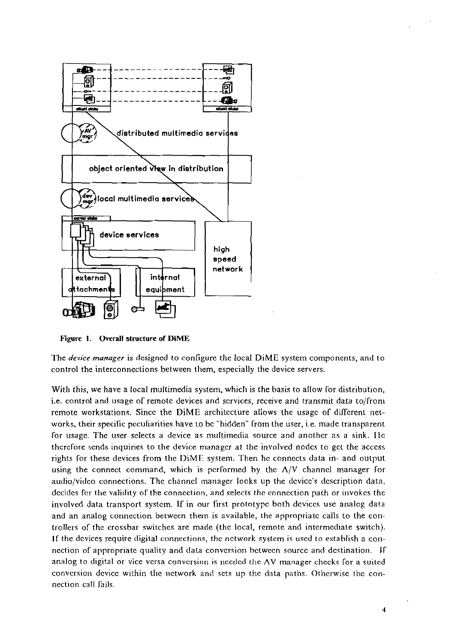



Figure 1. Overall structure of DiME

The *device manager* is designed to configure the local DiME system components, and to control the interconnections between them, especially the device servers.

With this, we have a local multimedia system, which is the basis to allow for distribution, i.e. control and usage of remote devices and services, receive and transmit data to/from remote workstations. Since the DiME architecture allows the usage of different networks, their specific peculiarities have to be "hidden" from the user, i.e. made transparent for usage. The user selects a device as multimedia source and another as a sink. He therefore sends inquiries to the device manager at the involved nodes to get the access rights for these devices from the DiME system. Then he connects data in- and output using the connect command, which is performed by the  $\Lambda/V$  channel manager for audio/video connections. The channel manager looks up the device's description data, decides for the validity of the connection, and selects the connection path or invokes the involved data transport system. If in our first prototype both devices use analog data and an analog connection between them is available, the appropriate calls to the controllers of the crossbar switches are made (the local, remote and intermediate switch). If the devices require digital connections, the network system is used to establish a connection of appropriate quality and data conversion between source and destination. If analog to digital or vice versa conversion is needed the AV manager checks for a suited conversion device within the network and sets up the data paths. Otherwise the connection call fails.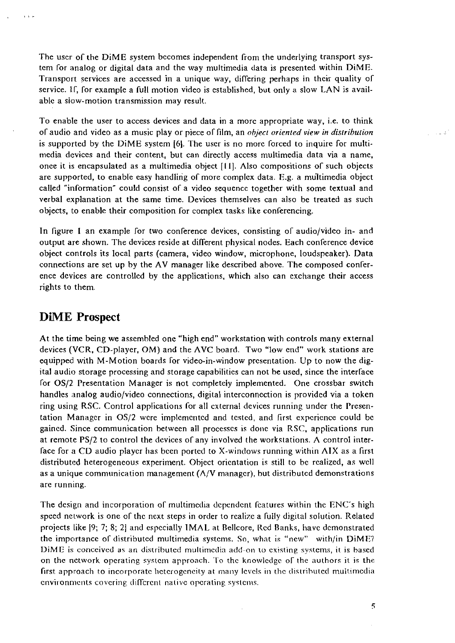The user of the DiME system becomes independent from the underlying transport system for analog or digital data and the way multimedia data is presented within DiME. Transport services are accessed in a unique way, differing perhaps in their quality of service. If, for example a full motion video is established, but only a slow LAN is available a slow-motion transmission may result.

To enable the user to access devices and data in a more appropriate way, i.e. to think oT audio and video as a music play or piece oTfilm, an *ohjeci orienred view in disiribution*  is supported by the DiME system [6]. The user is no more forced to inquire for multimedia devices and their content, but can directly access multimedia data via a name, once it is encapsulated as a multimedia object  $[11]$ . Also compositions of such objects are supported, to enable easy handling of more complex data. E.g. a multimedia object called "information" could consist of a video sequence together with some textual and verbal explanation at the Same time. Devices themselves can also be treated as such objects, to enable their composition for complex tasks like conferencing.

In figure I an example for two conference devices, consisting of audio/video in- and output are shown. The devices reside at different physical nodes. Each conference device object controls its local parts (camera, video window, microphone, loudspeaker). Data connections are set up by the AV manager like described above. The composed conference devices are controllcd by the applications. which also can exchange their access rights to them.

#### **DiME Prospect**

 $\Lambda$  -  $\Lambda$  -  $\Lambda$ 

At the time being we assembled one "high end" workstation with controls many external devices (VCR, CD-player, OM) and the AVC board. Two "low end" work stations are equipped with M-Motion boards for video-in-window presentation. Up to now the digital audio storage processing and storage capabilitics can not be used, since the interface for OS/2 Presentation Manager is not completely implemented. One crossbar switch handles analog audio/video connections, digital interconnection is provided via a token ring using RSC. Control applications for all external devices running under the Presentation Manager in OS/2 were implemented and tested, and first experience could be gained. Since communication between all processes is done via RSC, applications run at remote PS/2 to control the devices of any involved the workstations. A control interface for a CD audio player has been ported to X-windows running within AIX as a first distributcd heterogeneous experiment. Object oricntation is still to bc rcalized, as wcll as a unique communication management  $(\Lambda/V)$  manager), but distributed demonstrations are running.

The design and incorporation of multimedia dependent features within the ENC's high speed network is one of the next steps in order to realize a fully digital solution. Related projects like **19;** 7; 8; **21** and espccially IMAL at Rellcore, Rcd Ranks, liavc dcmonstrated the importance of distributed multimedia systems. So, what is "new" with/in DiME? DiME is conceived as an distributed multimedia add-on to existing systems, it is based on the network operating system approach. To the knowledge of the authors it is the first approach to incorporate heterogeneity at many levels in the distributed multimedia cnvironments covering different native operating systems.

 $\ddot{\phantom{a}}$ 

 $\overline{5}$